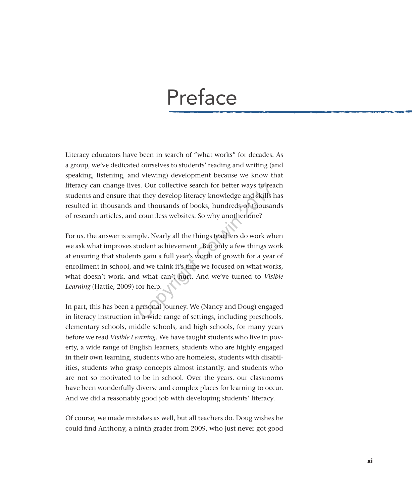## Preface

Literacy educators have been in search of "what works" for decades. As a group, we've dedicated ourselves to students' reading and writing (and speaking, listening, and viewing) development because we know that literacy can change lives. Our collective search for better ways to reach students and ensure that they develop literacy knowledge and skills has resulted in thousands and thousands of books, hundreds of thousands of research articles, and countless websites. So why another one?

For us, the answer is simple. Nearly all the things teachers do work when we ask what improves student achievement. But only a few things work at ensuring that students gain a full year's worth of growth for a year of enrollment in school, and we think it's time we focused on what works, what doesn't work, and what can't hurt. And we've turned to *Visible Learning* (Hattie, 2009) for help. es. Our collective search for better ways to reach they develop literacy knowledge and skills l<br>and thousands of books, hundreds of thousar<br>countless websites. So why another one?<br>apple. Nearly all the things teachers do w

In part, this has been a personal journey. We (Nancy and Doug) engaged in literacy instruction in a wide range of settings, including preschools, elementary schools, middle schools, and high schools, for many years before we read *Visible Learning*. We have taught students who live in poverty, a wide range of English learners, students who are highly engaged in their own learning, students who are homeless, students with disabilities, students who grasp concepts almost instantly, and students who are not so motivated to be in school. Over the years, our classrooms have been wonderfully diverse and complex places for learning to occur. And we did a reasonably good job with developing students' literacy.

Of course, we made mistakes as well, but all teachers do. Doug wishes he could find Anthony, a ninth grader from 2009, who just never got good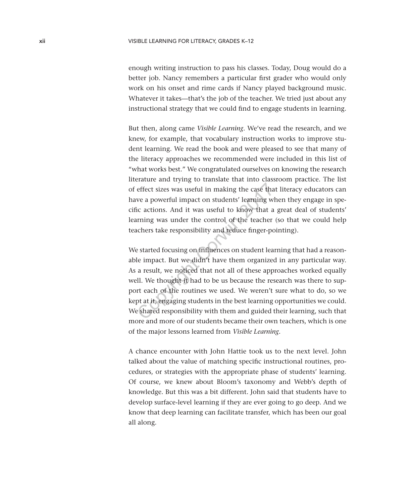enough writing instruction to pass his classes. Today, Doug would do a better job. Nancy remembers a particular first grader who would only work on his onset and rime cards if Nancy played background music. Whatever it takes—that's the job of the teacher. We tried just about any instructional strategy that we could find to engage students in learning.

But then, along came *Visible Learning*. We've read the research, and we knew, for example, that vocabulary instruction works to improve student learning. We read the book and were pleased to see that many of the literacy approaches we recommended were included in this list of "what works best." We congratulated ourselves on knowing the research literature and trying to translate that into classroom practice. The list of effect sizes was useful in making the case that literacy educators can have a powerful impact on students' learning when they engage in specific actions. And it was useful to know that a great deal of students' learning was under the control of the teacher (so that we could help teachers take responsibility and reduce finger-pointing).

We started focusing on influences on student learning that had a reasonable impact. But we didn't have them organized in any particular way. As a result, we noticed that not all of these approaches worked equally well. We thought it had to be us because the research was there to support each of the routines we used. We weren't sure what to do, so we kept at it, engaging students in the best learning opportunities we could. We shared responsibility with them and guided their learning, such that more and more of our students became their own teachers, which is one of the major lessons learned from *Visible Learning*. effect sizes was useful in making the case tha<br>ve a powerful impact on students' learning wi<br>ic actions. And it was useful to know that a<br>rning was under the control of the teacher<br>chers take responsibility and reduce fing

A chance encounter with John Hattie took us to the next level. John talked about the value of matching specific instructional routines, procedures, or strategies with the appropriate phase of students' learning. Of course, we knew about Bloom's taxonomy and Webb's depth of knowledge. But this was a bit different. John said that students have to develop surface-level learning if they are ever going to go deep. And we know that deep learning can facilitate transfer, which has been our goal all along.